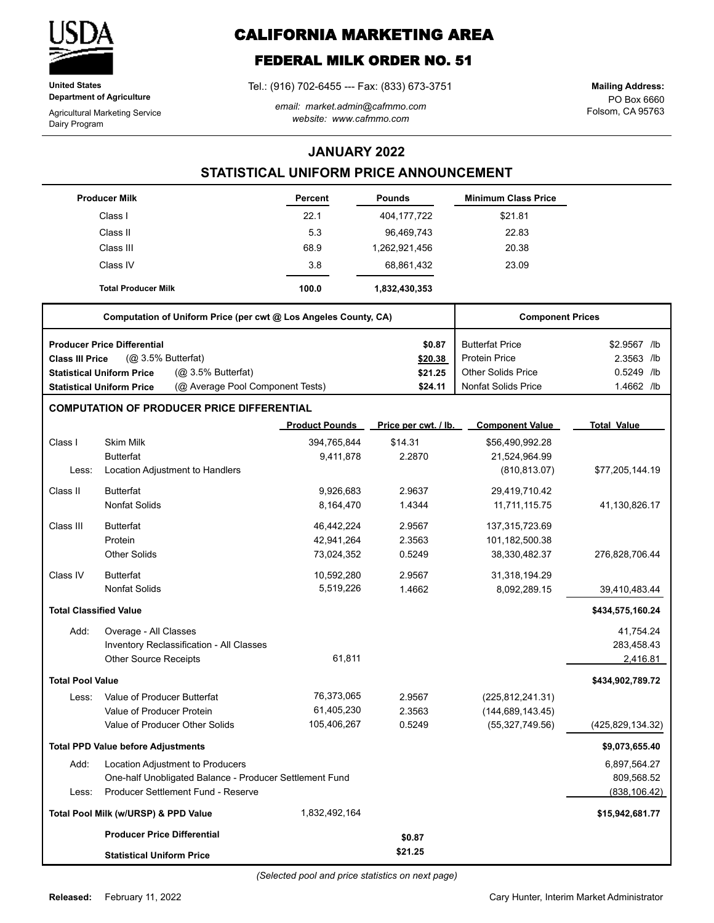

**United States Department of Agriculture**

Agricultural Marketing Service Dairy Program

# **CALIFORNIA MARKETING AREA**

## **FEDERAL MILK ORDER NO. 51**

Tel.: (916) 702-6455 --- Fax: (833) 673-3751

*email: market.admin@cafmmo.com website: www.cafmmo.com*

PO Box 6660 Folsom, CA 95763 **Mailing Address:**

### **JANUARY 2022**

### **STATISTICAL UNIFORM PRICE ANNOUNCEMENT**

|                         | <b>Producer Milk</b>                                                 | Percent               | <b>Pounds</b>        | <b>Minimum Class Price</b> |                    |
|-------------------------|----------------------------------------------------------------------|-----------------------|----------------------|----------------------------|--------------------|
|                         | Class I                                                              | 22.1                  | 404, 177, 722        | \$21.81                    |                    |
|                         | Class II                                                             | 5.3                   | 96,469,743           | 22.83                      |                    |
|                         | Class III                                                            | 68.9                  | 1,262,921,456        | 20.38                      |                    |
|                         | Class IV                                                             | 3.8                   | 68,861,432           | 23.09                      |                    |
|                         | <b>Total Producer Milk</b>                                           | 100.0                 | 1,832,430,353        |                            |                    |
|                         | Computation of Uniform Price (per cwt @ Los Angeles County, CA)      |                       |                      | <b>Component Prices</b>    |                    |
|                         | <b>Producer Price Differential</b>                                   |                       | \$0.87               | <b>Butterfat Price</b>     | \$2.9567 /lb       |
| <b>Class III Price</b>  | (@ 3.5% Butterfat)                                                   |                       | \$20.38              | Protein Price              | 2.3563 /lb         |
|                         | (@ 3.5% Butterfat)<br><b>Statistical Uniform Price</b>               |                       | \$21.25              | <b>Other Solids Price</b>  | 0.5249 /lb         |
|                         | (@ Average Pool Component Tests)<br><b>Statistical Uniform Price</b> |                       | \$24.11              | <b>Nonfat Solids Price</b> | 1.4662 /lb         |
|                         | <b>COMPUTATION OF PRODUCER PRICE DIFFERENTIAL</b>                    |                       |                      |                            |                    |
|                         |                                                                      | <b>Product Pounds</b> | Price per cwt. / lb. | <b>Component Value</b>     | <b>Total Value</b> |
| Class I                 | <b>Skim Milk</b>                                                     | 394,765,844           | \$14.31              | \$56,490,992.28            |                    |
|                         | <b>Butterfat</b>                                                     | 9,411,878             | 2.2870               | 21,524,964.99              |                    |
| Less:                   | Location Adjustment to Handlers                                      |                       |                      | (810, 813.07)              | \$77,205,144.19    |
| Class II                | <b>Butterfat</b>                                                     | 9,926,683             | 2.9637               | 29,419,710.42              |                    |
|                         | <b>Nonfat Solids</b>                                                 | 8,164,470             | 1.4344               | 11,711,115.75              | 41,130,826.17      |
| Class III               | <b>Butterfat</b>                                                     | 46,442,224            | 2.9567               | 137,315,723.69             |                    |
|                         | Protein                                                              | 42,941,264            | 2.3563               | 101,182,500.38             |                    |
|                         | <b>Other Solids</b>                                                  | 73,024,352            | 0.5249               | 38,330,482.37              | 276,828,706.44     |
| Class IV                | <b>Butterfat</b>                                                     | 10,592,280            | 2.9567               | 31,318,194.29              |                    |
|                         | <b>Nonfat Solids</b>                                                 | 5,519,226             | 1.4662               | 8,092,289.15               | 39,410,483.44      |
|                         | <b>Total Classified Value</b>                                        |                       |                      |                            | \$434,575,160.24   |
| Add:                    | Overage - All Classes                                                |                       |                      |                            | 41,754.24          |
|                         | Inventory Reclassification - All Classes                             |                       |                      |                            | 283,458.43         |
|                         | <b>Other Source Receipts</b>                                         | 61,811                |                      |                            | 2,416.81           |
| <b>Total Pool Value</b> |                                                                      |                       |                      |                            | \$434,902,789.72   |
| Less:                   | Value of Producer Butterfat                                          | 76,373,065            | 2.9567               | (225, 812, 241.31)         |                    |
|                         | Value of Producer Protein                                            | 61,405,230            | 2.3563               | (144, 689, 143.45)         |                    |
|                         | Value of Producer Other Solids                                       | 105,406,267           | 0.5249               | (55, 327, 749.56)          | (425, 829, 134.32) |
|                         | <b>Total PPD Value before Adjustments</b>                            |                       |                      |                            | \$9,073,655.40     |
| Add:                    | Location Adjustment to Producers                                     |                       |                      |                            | 6,897,564.27       |
|                         | One-half Unobligated Balance - Producer Settlement Fund              |                       |                      |                            | 809,568.52         |
| Less:                   | Producer Settlement Fund - Reserve                                   |                       |                      |                            | (838, 106.42)      |
|                         | Total Pool Milk (w/URSP) & PPD Value                                 | 1,832,492,164         |                      |                            | \$15,942,681.77    |
|                         | <b>Producer Price Differential</b>                                   |                       | \$0.87               |                            |                    |
|                         | <b>Statistical Uniform Price</b>                                     |                       | \$21.25              |                            |                    |

*(Selected pool and price statistics on next page)*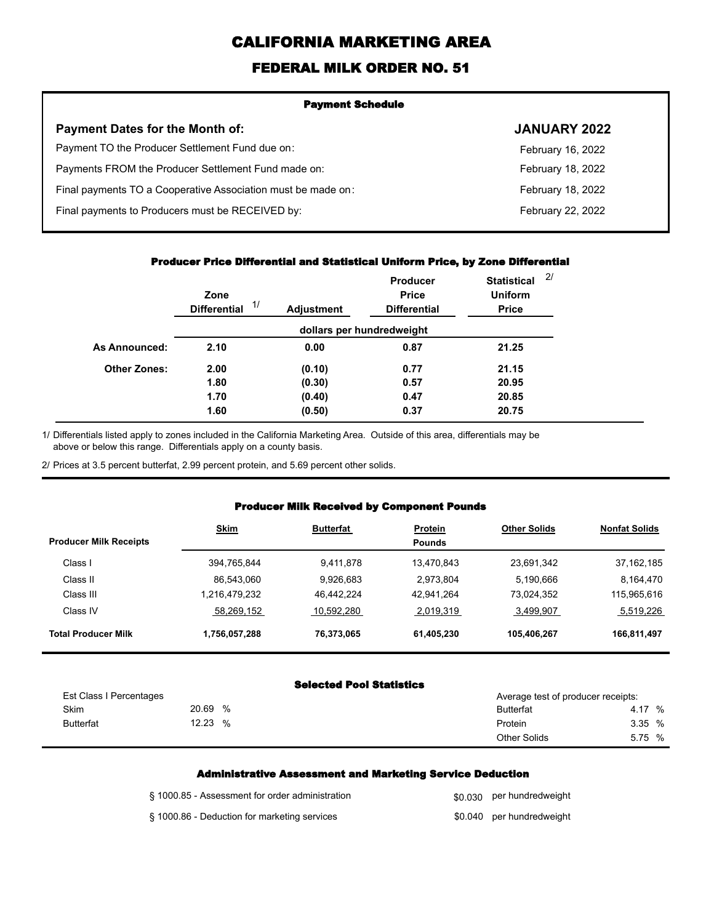# **CALIFORNIA MARKETING AREA**

## **FEDERAL MILK ORDER NO. 51**

| <b>Payment Schedule</b>                                      |                     |  |  |
|--------------------------------------------------------------|---------------------|--|--|
| <b>Payment Dates for the Month of:</b>                       | <b>JANUARY 2022</b> |  |  |
| Payment TO the Producer Settlement Fund due on:              | February 16, 2022   |  |  |
| Payments FROM the Producer Settlement Fund made on:          | February 18, 2022   |  |  |
| Final payments TO a Cooperative Association must be made on: | February 18, 2022   |  |  |
| Final payments to Producers must be RECEIVED by:             | February 22, 2022   |  |  |
|                                                              |                     |  |  |

### **Producer Price Differential and Statistical Uniform Price, by Zone Differential**

|                     | Zone<br>1/<br><b>Differential</b> | <b>Adjustment</b> | Producer<br><b>Price</b><br><b>Differential</b> | <b>Statistical</b><br><b>Uniform</b><br><b>Price</b> | 2/ |
|---------------------|-----------------------------------|-------------------|-------------------------------------------------|------------------------------------------------------|----|
|                     |                                   |                   | dollars per hundredweight                       |                                                      |    |
| As Announced:       | 2.10                              | 0.00              | 0.87                                            | 21.25                                                |    |
| <b>Other Zones:</b> | 2.00                              | (0.10)            | 0.77                                            | 21.15                                                |    |
|                     | 1.80                              | (0.30)            | 0.57                                            | 20.95                                                |    |
|                     | 1.70                              | (0.40)            | 0.47                                            | 20.85                                                |    |
|                     | 1.60                              | (0.50)            | 0.37                                            | 20.75                                                |    |

Differentials listed apply to zones included in the California Marketing Area. Outside of this area, differentials may be above or below this range. Differentials apply on a county basis. 1/

2/ Prices at 3.5 percent butterfat, 2.99 percent protein, and 5.69 percent other solids.

### **Producer Milk Received by Component Pounds**

| <b>Producer Milk Receipts</b> | <b>Skim</b>   | <b>Butterfat</b> | Protein<br><b>Pounds</b> | <b>Other Solids</b> | <b>Nonfat Solids</b> |
|-------------------------------|---------------|------------------|--------------------------|---------------------|----------------------|
| Class I                       | 394,765,844   | 9,411,878        | 13.470.843               | 23,691,342          | 37, 162, 185         |
| Class II                      | 86.543.060    | 9.926.683        | 2.973.804                | 5,190,666           | 8.164.470            |
| Class III                     | 1.216.479.232 | 46.442.224       | 42.941.264               | 73,024,352          | 115,965,616          |
| Class IV                      | 58,269,152    | 10.592.280       | 2,019,319                | 3,499,907           | 5,519,226            |
| <b>Total Producer Milk</b>    | 1,756,057,288 | 76,373,065       | 61.405.230               | 105,406,267         | 166,811,497          |

#### **Selected Pool Statistics**

| Est Class I Percentages |            | Average test of producer receipts: |        |
|-------------------------|------------|------------------------------------|--------|
| <b>Skim</b>             | 20.69<br>% | <b>Butterfat</b>                   | 4.17 % |
| <b>Butterfat</b>        | 12.23<br>% | Protein                            | 3.35 % |
|                         |            | <b>Other Solids</b>                | 5.75 % |

#### **Administrative Assessment and Marketing Service Deduction**

| § 1000.85 - Assessment for order administration | \$0.030 per hundredweight |
|-------------------------------------------------|---------------------------|
| § 1000.86 - Deduction for marketing services    | \$0.040 per hundredweight |